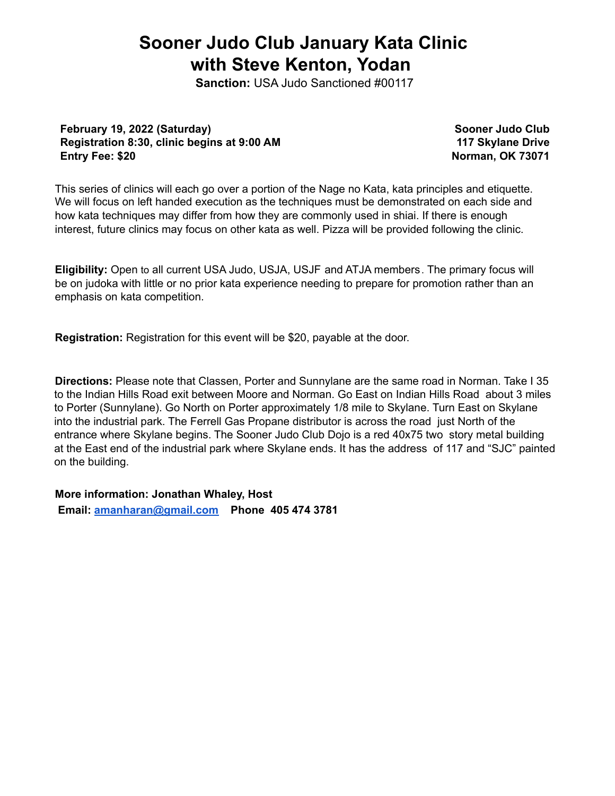## **Sooner Judo Club January Kata Clinic with Steve Kenton, Yodan**

**Sanction:** USA Judo Sanctioned #00117

**February 19, 2022 (Saturday) Registration 8:30, clinic begins at 9:00 AM Entry Fee: \$20**

**Sooner Judo Club 117 Skylane Drive Norman, OK 73071**

This series of clinics will each go over a portion of the Nage no Kata, kata principles and etiquette. We will focus on left handed execution as the techniques must be demonstrated on each side and how kata techniques may differ from how they are commonly used in shiai. If there is enough interest, future clinics may focus on other kata as well. Pizza will be provided following the clinic.

**Eligibility:** Open to all current USA Judo, USJA, USJF and ATJA members. The primary focus will be on judoka with little or no prior kata experience needing to prepare for promotion rather than an emphasis on kata competition.

**Registration:** Registration for this event will be \$20, payable at the door.

**Directions:** Please note that Classen, Porter and Sunnylane are the same road in Norman. Take I 35 to the Indian Hills Road exit between Moore and Norman. Go East on Indian Hills Road about 3 miles to Porter (Sunnylane). Go North on Porter approximately 1/8 mile to Skylane. Turn East on Skylane into the industrial park. The Ferrell Gas Propane distributor is across the road just North of the entrance where Skylane begins. The Sooner Judo Club Dojo is a red 40x75 two story metal building at the East end of the industrial park where Skylane ends. It has the address of 117 and "SJC" painted on the building.

**More information: Jonathan Whaley, Host Email: [amanharan@gmail.com](mailto:amanharan@gmail.com) Phone 405 474 3781**